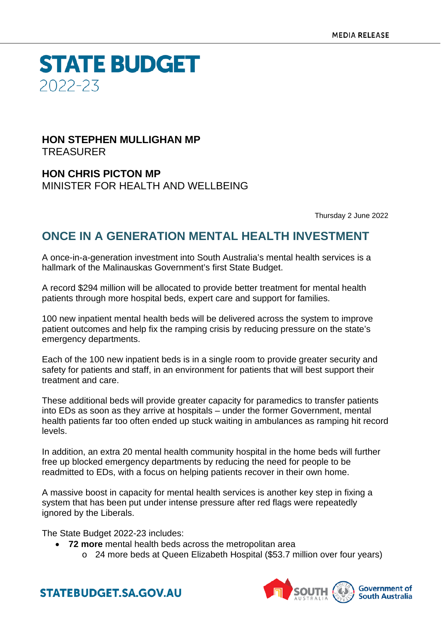**STATE BUDGET** 2022-23

### **HON STEPHEN MULLIGHAN MP** TREASURER

**HON CHRIS PICTON MP** MINISTER FOR HEALTH AND WELLBEING

Thursday 2 June 2022

## **ONCE IN A GENERATION MENTAL HEALTH INVESTMENT**

A once-in-a-generation investment into South Australia's mental health services is a hallmark of the Malinauskas Government's first State Budget.

A record \$294 million will be allocated to provide better treatment for mental health patients through more hospital beds, expert care and support for families.

100 new inpatient mental health beds will be delivered across the system to improve patient outcomes and help fix the ramping crisis by reducing pressure on the state's emergency departments.

Each of the 100 new inpatient beds is in a single room to provide greater security and safety for patients and staff, in an environment for patients that will best support their treatment and care.

These additional beds will provide greater capacity for paramedics to transfer patients into EDs as soon as they arrive at hospitals – under the former Government, mental health patients far too often ended up stuck waiting in ambulances as ramping hit record levels.

In addition, an extra 20 mental health community hospital in the home beds will further free up blocked emergency departments by reducing the need for people to be readmitted to EDs, with a focus on helping patients recover in their own home.

A massive boost in capacity for mental health services is another key step in fixing a system that has been put under intense pressure after red flags were repeatedly ignored by the Liberals.

The State Budget 2022-23 includes:

- **72 more** mental health beds across the metropolitan area
	- o 24 more beds at Queen Elizabeth Hospital (\$53.7 million over four years)



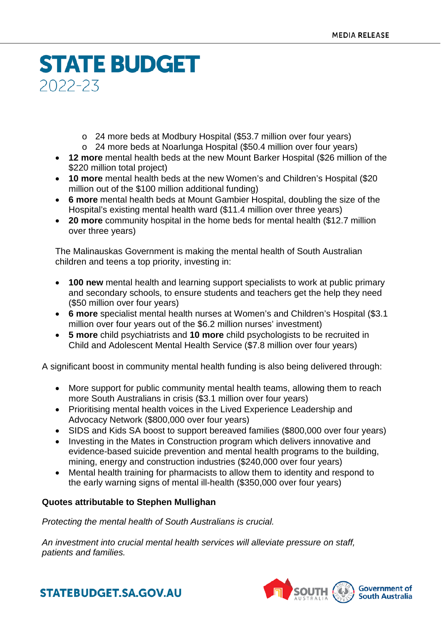# **STATE BUDGET** 2022-23

- o 24 more beds at Modbury Hospital (\$53.7 million over four years)
- o 24 more beds at Noarlunga Hospital (\$50.4 million over four years)
- **12 more** mental health beds at the new Mount Barker Hospital (\$26 million of the \$220 million total project)
- **10 more** mental health beds at the new Women's and Children's Hospital (\$20 million out of the \$100 million additional funding)
- **6 more** mental health beds at Mount Gambier Hospital, doubling the size of the Hospital's existing mental health ward (\$11.4 million over three years)
- **20 more** community hospital in the home beds for mental health (\$12.7 million over three years)

The Malinauskas Government is making the mental health of South Australian children and teens a top priority, investing in:

- **100 new** mental health and learning support specialists to work at public primary and secondary schools, to ensure students and teachers get the help they need (\$50 million over four years)
- **6 more** specialist mental health nurses at Women's and Children's Hospital (\$3.1 million over four years out of the \$6.2 million nurses' investment)
- **5 more** child psychiatrists and **10 more** child psychologists to be recruited in Child and Adolescent Mental Health Service (\$7.8 million over four years)

A significant boost in community mental health funding is also being delivered through:

- More support for public community mental health teams, allowing them to reach more South Australians in crisis (\$3.1 million over four years)
- Prioritising mental health voices in the Lived Experience Leadership and Advocacy Network (\$800,000 over four years)
- SIDS and Kids SA boost to support bereaved families (\$800,000 over four years)
- Investing in the Mates in Construction program which delivers innovative and evidence-based suicide prevention and mental health programs to the building, mining, energy and construction industries (\$240,000 over four years)
- Mental health training for pharmacists to allow them to identity and respond to the early warning signs of mental ill-health (\$350,000 over four years)

### **Quotes attributable to Stephen Mullighan**

*Protecting the mental health of South Australians is crucial.*

*An investment into crucial mental health services will alleviate pressure on staff, patients and families.*



**STATEBUDGET.SA.GOV.AU**